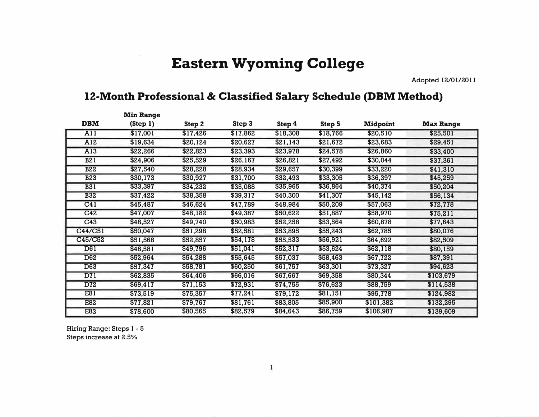## **Eastern Wyoming College**

**Adopted 12/01/2011** 

## **12-Month Professional & Classified Salary Schedule (DBM Method)**

|                  | <b>Min Range</b> |          |          |          |               |                 |                  |
|------------------|------------------|----------|----------|----------|---------------|-----------------|------------------|
| <b>DBM</b>       | (Step 1)         | Step 2   | Step 3   | Step 4   | <b>Step 5</b> | <b>Midpoint</b> | <b>Max Range</b> |
| $\overline{All}$ | \$17,001         | \$17,426 | \$17,862 | \$18,308 | \$18,766      | \$20,510        | \$25,501         |
| A12              | \$19,634         | \$20,124 | \$20,627 | \$21,143 | \$21,672      | \$23,683        | \$29,451         |
| A13              | \$22,266         | \$22,823 | \$23,393 | \$23,978 | \$24,578      | \$26,860        | \$33,400         |
| B21              | \$24,906         | \$25,529 | \$26,167 | \$26,821 | \$27,492      | \$30,044        | \$37,361         |
| <b>B22</b>       | \$27,540         | \$28,228 | \$28,934 | \$29,657 | \$30,399      | \$33,220        | \$41,310         |
| <b>B23</b>       | \$30,173         | \$30,927 | \$31,700 | \$32,493 | \$33,305      | \$36,397        | \$45,259         |
| <b>B31</b>       | \$33,397         | \$34,232 | \$35,088 | \$35,965 | \$36,864      | \$40,374        | \$50,204         |
| <b>B32</b>       | \$37,422         | \$38,358 | \$39,317 | \$40,300 | \$41,307      | \$45,142        | \$56,134         |
| C41              | \$45,487         | \$46,624 | \$47,789 | \$48,984 | \$50,209      | \$57,063        | \$72,778         |
| C42              | \$47,007         | \$48,182 | \$49,387 | \$50,622 | \$51,887      | \$58,970        | \$75,211         |
| C43              | \$48,527         | \$49,740 | \$50,983 | \$52,258 | \$53,564      | \$60,878        | \$77,643         |
| C44/C51          | \$50,047         | \$51,298 | \$52,581 | \$53,895 | \$55,243      | \$62,785        | \$80,076         |
| C45/C52          | \$51,568         | \$52,857 | \$54,178 | \$55,533 | \$56,921      | \$64,692        | \$82,509         |
| D61              | \$48,581         | \$49,796 | \$51,041 | \$52,317 | \$53,624      | \$62,118        | \$80,159         |
| D62              | \$52,964         | \$54,288 | \$55,645 | \$57,037 | \$58,463      | \$67,722        | \$87,391         |
| <b>D63</b>       | \$57,347         | \$58,781 | \$60,250 | \$61,757 | \$63,301      | \$73,327        | \$94,623         |
| D71              | \$62,835         | \$64,406 | \$66,016 | \$67,667 | \$69,358      | \$80,344        | \$103,679        |
| D72              | \$69,417         | \$71,153 | \$72,931 | \$74,755 | \$76,623      | \$88,759        | \$114,538        |
| E81              | \$73,519         | \$75,357 | \$77,241 | \$79,172 | \$81,151      | \$95,778        | \$124,982        |
| <b>E82</b>       | \$77,821         | \$79,767 | \$81,761 | \$83,805 | \$85,900      | \$101,382       | \$132,295        |
| E83              | \$78,600         | \$80,565 | \$82,579 | \$84,643 | \$86,759      | \$106,987       | \$139,609        |

**Hiring Range: Steps l - 5 Steps increase at 2.5%**